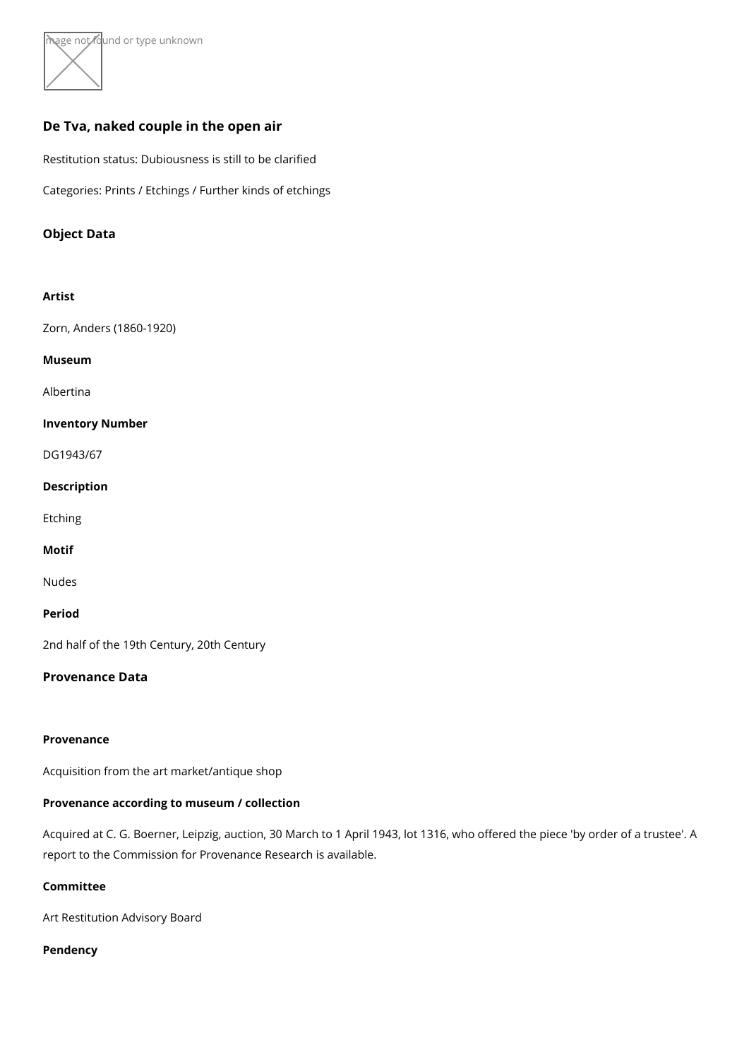∖mage hot found or type unknown

# De Tva, naked couple in the open air

Restitution status: Dubiousness is still to be clarified

Categories: Prints / Etchings / Further kinds of etchings

Object Data

Artist [Zorn, Anders \(18](https://www.kunstdatenbank.at/search-for-objects/artist/zorn  anders  1860-1920 )60-1920) Museum [Albert](https://www.kunstdatenbank.at//detail-view-museum/albertina.html)ina Inventory Number DG1943/67

Description

Etching

Motif

Nudes

Period

2nd half of the 19th Century, 20th Century

Provenance Data

Provenance

Acquisition from the art market/antique shop

Provenance according to museum / collection

Acquired at C. G. Boerner, Leipzig, auction, 30 March to 1 April 1943, lot 1316, who of report to the Commission for Provenance Research is available.

Committee

Art Restitution Advisory Board

Pendency